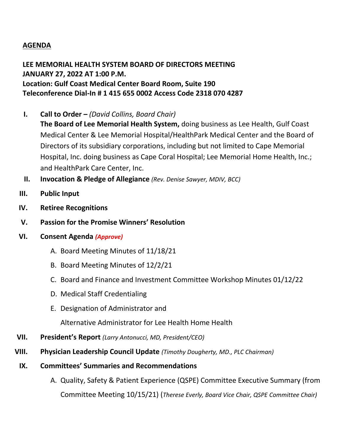## **AGENDA**

## **LEE MEMORIAL HEALTH SYSTEM BOARD OF DIRECTORS MEETING JANUARY 27, 2022 AT 1:00 P.M. Location: Gulf Coast Medical Center Board Room, Suite 190 Teleconference Dial-In # 1 415 655 0002 Access Code 2318 070 4287**

**I. Call to Order –** *(David Collins, Board Chair)*

**The Board of Lee Memorial Health System,** doing business as Lee Health, Gulf Coast Medical Center & Lee Memorial Hospital/HealthPark Medical Center and the Board of Directors of its subsidiary corporations, including but not limited to Cape Memorial Hospital, Inc. doing business as Cape Coral Hospital; Lee Memorial Home Health, Inc.; and HealthPark Care Center, Inc.

- **II. Invocation & Pledge of Allegiance** *(Rev. Denise Sawyer, MDIV, BCC)*
- **III. Public Input**
- **IV. Retiree Recognitions**
- **V. Passion for the Promise Winners' Resolution**
- **VI. Consent Agenda** *(Approve)*
	- A. Board Meeting Minutes of 11/18/21
	- B. Board Meeting Minutes of 12/2/21
	- C. Board and Finance and Investment Committee Workshop Minutes 01/12/22
	- D. Medical Staff Credentialing
	- E. Designation of Administrator and

Alternative Administrator for Lee Health Home Health

- **VII. President's Report** *(Larry Antonucci, MD, President/CEO)*
- **VIII. Physician Leadership Council Update** *(Timothy Dougherty, MD., PLC Chairman)*
- **IX. Committees' Summaries and Recommendations**
	- A. Quality, Safety & Patient Experience (QSPE) Committee Executive Summary (from Committee Meeting 10/15/21) (*Therese Everly, Board Vice Chair, QSPE Committee Chair)*